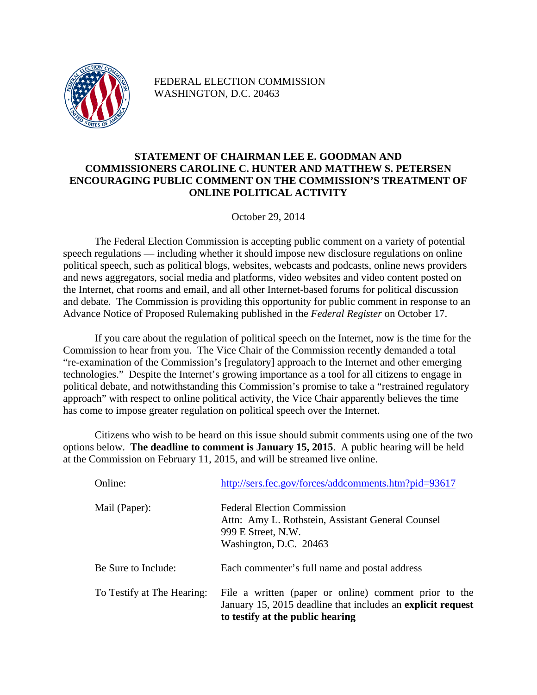

FEDERAL ELECTION COMMISSION WASHINGTON, D.C. 20463

## **STATEMENT OF CHAIRMAN LEE E. GOODMAN AND COMMISSIONERS CAROLINE C. HUNTER AND MATTHEW S. PETERSEN ENCOURAGING PUBLIC COMMENT ON THE COMMISSION'S TREATMENT OF ONLINE POLITICAL ACTIVITY**

October 29, 2014

The Federal Election Commission is accepting public comment on a variety of potential speech regulations — including whether it should impose new disclosure regulations on online political speech, such as political blogs, websites, webcasts and podcasts, online news providers and news aggregators, social media and platforms, video websites and video content posted on the Internet, chat rooms and email, and all other Internet-based forums for political discussion and debate. The Commission is providing this opportunity for public comment in response to an Advance Notice of Proposed Rulemaking published in the *Federal Register* on October 17.

If you care about the regulation of political speech on the Internet, now is the time for the Commission to hear from you. The Vice Chair of the Commission recently demanded a total "re-examination of the Commission's [regulatory] approach to the Internet and other emerging technologies." Despite the Internet's growing importance as a tool for all citizens to engage in political debate, and notwithstanding this Commission's promise to take a "restrained regulatory approach" with respect to online political activity, the Vice Chair apparently believes the time has come to impose greater regulation on political speech over the Internet.

Citizens who wish to be heard on this issue should submit comments using one of the two options below. **The deadline to comment is January 15, 2015**. A public hearing will be held at the Commission on February 11, 2015, and will be streamed live online.

| Online:                    | http://sers.fec.gov/forces/addcomments.htm?pid=93617                                                                                                     |
|----------------------------|----------------------------------------------------------------------------------------------------------------------------------------------------------|
| Mail (Paper):              | <b>Federal Election Commission</b><br>Attn: Amy L. Rothstein, Assistant General Counsel<br>999 E Street, N.W.<br>Washington, D.C. 20463                  |
| Be Sure to Include:        | Each commenter's full name and postal address                                                                                                            |
| To Testify at The Hearing: | File a written (paper or online) comment prior to the<br>January 15, 2015 deadline that includes an explicit request<br>to testify at the public hearing |